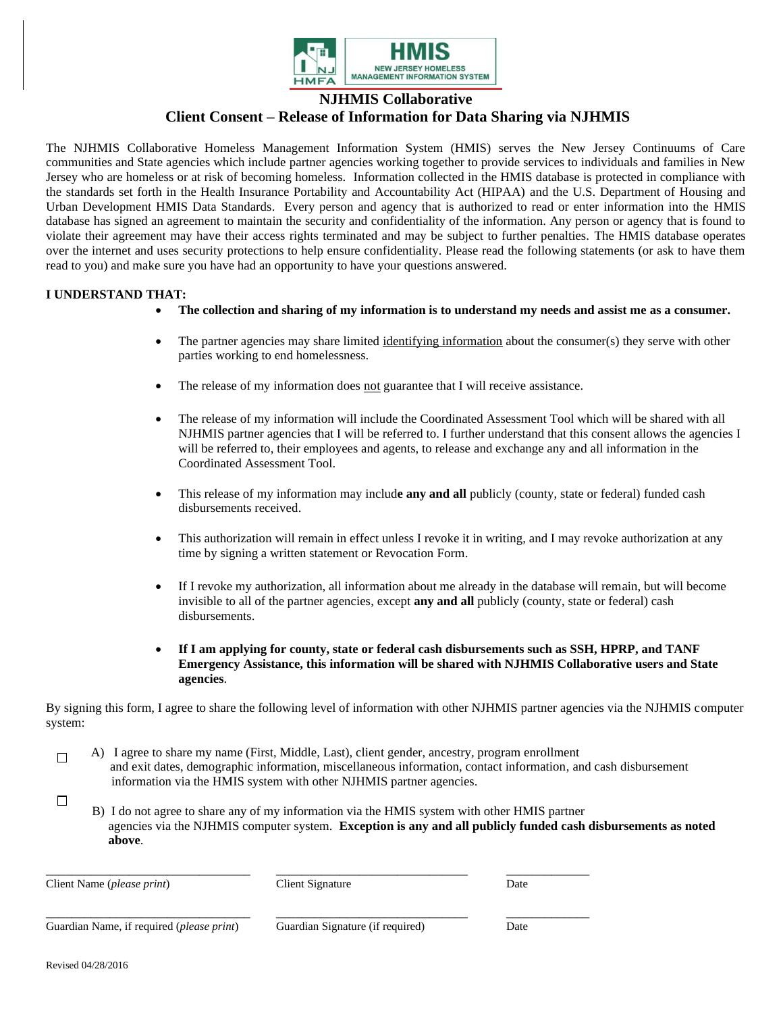

**NJHMIS Collaborative**

## **Client Consent – Release of Information for Data Sharing via NJHMIS**

The NJHMIS Collaborative Homeless Management Information System (HMIS) serves the New Jersey Continuums of Care communities and State agencies which include partner agencies working together to provide services to individuals and families in New Jersey who are homeless or at risk of becoming homeless. Information collected in the HMIS database is protected in compliance with the standards set forth in the Health Insurance Portability and Accountability Act (HIPAA) and the U.S. Department of Housing and Urban Development HMIS Data Standards. Every person and agency that is authorized to read or enter information into the HMIS database has signed an agreement to maintain the security and confidentiality of the information. Any person or agency that is found to violate their agreement may have their access rights terminated and may be subject to further penalties. The HMIS database operates over the internet and uses security protections to help ensure confidentiality. Please read the following statements (or ask to have them read to you) and make sure you have had an opportunity to have your questions answered.

## **I UNDERSTAND THAT:**

- **The collection and sharing of my information is to understand my needs and assist me as a consumer.**
- The partner agencies may share limited identifying information about the consumer(s) they serve with other parties working to end homelessness.
- The release of my information does not guarantee that I will receive assistance.
- The release of my information will include the Coordinated Assessment Tool which will be shared with all NJHMIS partner agencies that I will be referred to. I further understand that this consent allows the agencies I will be referred to, their employees and agents, to release and exchange any and all information in the Coordinated Assessment Tool.
- This release of my information may includ**e any and all** publicly (county, state or federal) funded cash disbursements received.
- This authorization will remain in effect unless I revoke it in writing, and I may revoke authorization at any time by signing a written statement or Revocation Form.
- If I revoke my authorization, all information about me already in the database will remain, but will become invisible to all of the partner agencies, except **any and all** publicly (county, state or federal) cash disbursements.
- **If I am applying for county, state or federal cash disbursements such as SSH, HPRP, and TANF Emergency Assistance, this information will be shared with NJHMIS Collaborative users and State agencies**.

By signing this form, I agree to share the following level of information with other NJHMIS partner agencies via the NJHMIS computer system:

- $\Box$  A) I agree to share my name (First, Middle, Last), client gender, ancestry, program enrollment and exit dates, demographic information, miscellaneous information, contact information, and cash disbursement information via the HMIS system with other NJHMIS partner agencies.
	- B) I do not agree to share any of my information via the HMIS system with other HMIS partner agencies via the NJHMIS computer system. **Exception is any and all publicly funded cash disbursements as noted above**.

| Client Name ( <i>please print</i> )                | Client Signature                 | Date |
|----------------------------------------------------|----------------------------------|------|
| Guardian Name, if required ( <i>please print</i> ) | Guardian Signature (if required) | Date |

 $\Box$